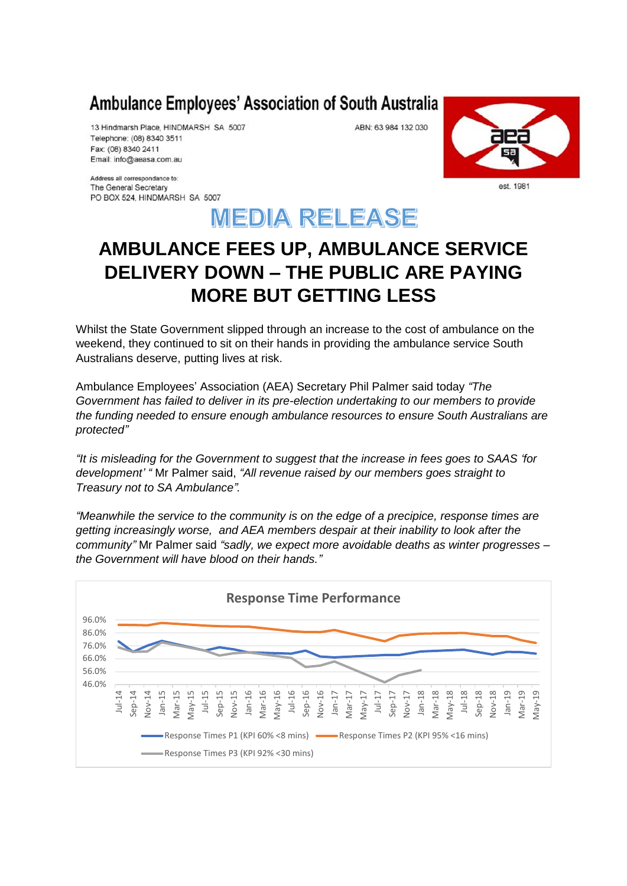## Ambulance Employees' Association of South Australia

13 Hindmarsh Place, HINDMARSH SA 5007 Telephone: (08) 8340 3511 Fax: (08) 8340 2411 Email: info@aeasa.com.au

Address all correspondance to: The General Secretary PO BOX 524, HINDMARSH SA 5007 est. 1981



ABN: 63 984 132 030

## **AMBULANCE FEES UP, AMBULANCE SERVICE DELIVERY DOWN – THE PUBLIC ARE PAYING MORE BUT GETTING LESS**

Whilst the State Government slipped through an increase to the cost of ambulance on the weekend, they continued to sit on their hands in providing the ambulance service South Australians deserve, putting lives at risk.

Ambulance Employees' Association (AEA) Secretary Phil Palmer said today *"The Government has failed to deliver in its pre-election undertaking to our members to provide the funding needed to ensure enough ambulance resources to ensure South Australians are protected"*

*"It is misleading for the Government to suggest that the increase in fees goes to SAAS 'for development' "* Mr Palmer said, *"All revenue raised by our members goes straight to Treasury not to SA Ambulance".*

*"Meanwhile the service to the community is on the edge of a precipice, response times are getting increasingly worse, and AEA members despair at their inability to look after the community"* Mr Palmer said *"sadly, we expect more avoidable deaths as winter progresses – the Government will have blood on their hands."*